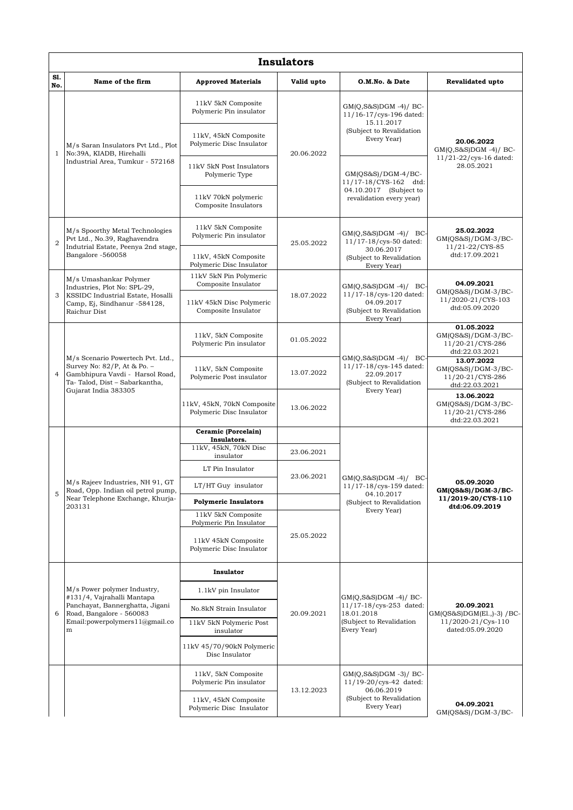|                | <b>Insulators</b>                                                                                                                                                 |                                                                                                   |                          |                                                                                                             |                                                                                   |  |  |  |  |
|----------------|-------------------------------------------------------------------------------------------------------------------------------------------------------------------|---------------------------------------------------------------------------------------------------|--------------------------|-------------------------------------------------------------------------------------------------------------|-----------------------------------------------------------------------------------|--|--|--|--|
| S1.<br>No.     | Name of the firm                                                                                                                                                  | <b>Approved Materials</b>                                                                         | Valid upto               | O.M.No. & Date                                                                                              | <b>Revalidated upto</b>                                                           |  |  |  |  |
| $\mathbf{1}$   | M/s Saran Insulators Pvt Ltd., Plot<br>No:39A, KIADB, Hirehalli<br>Industrial Area, Tumkur - 572168                                                               | 11kV 5kN Composite<br>Polymeric Pin insulator<br>11kV, 45kN Composite<br>Polymeric Disc Insulator | 20.06.2022               | $GM(Q,S\&S)DGM -4)/BC$<br>11/16-17/cys-196 dated:<br>15.11.2017<br>(Subject to Revalidation<br>Every Year)  | 20.06.2022<br>$GM(Q, S\&S)DGM -4)/BC$ -<br>11/21-22/cys-16 dated:<br>28.05.2021   |  |  |  |  |
|                |                                                                                                                                                                   | 11kV 5kN Post Insulators<br>Polymeric Type                                                        |                          | $GM(QS&S)/DGM-4/BC-$<br>11/17-18/CYS-162 dtd:<br>04.10.2017 (Subject to<br>revalidation every year)         |                                                                                   |  |  |  |  |
|                |                                                                                                                                                                   | 11kV 70kN polymeric<br>Composite Insulators                                                       |                          |                                                                                                             |                                                                                   |  |  |  |  |
| $\overline{2}$ | M/s Spoorthy Metal Technologies<br>Pvt Ltd., No.39, Raghavendra<br>Indutrial Estate, Peenya 2nd stage,<br>Bangalore -560058                                       | 11kV 5kN Composite<br>Polymeric Pin insulator                                                     | 25.05.2022               | $GM(Q, S\&S)DGM -4)/BC$<br>11/17-18/cys-50 dated:<br>30.06.2017<br>(Subject to Revalidation<br>Every Year)  | 25.02.2022<br>$GM(QS&S)/DGM-3/BC-$<br>11/21-22/CYS-85<br>dtd:17.09.2021           |  |  |  |  |
|                |                                                                                                                                                                   | 11kV, 45kN Composite<br>Polymeric Disc Insulator                                                  |                          |                                                                                                             |                                                                                   |  |  |  |  |
| 3              | M/s Umashankar Polymer<br>Industries, Plot No: SPL-29,<br>KSSIDC Industrial Estate, Hosalli<br>Camp, Ej, Sindhanur -584128,                                       | 11kV 5kN Pin Polymeric<br>Composite Insulator<br>11kV 45kN Disc Polymeric                         | 18.07.2022               | $GM(Q, S&S)DGM -4)/BC$<br>11/17-18/cys-120 dated:<br>04.09.2017                                             | 04.09.2021<br>$GM(QS&S)/DGM-3/BC-$<br>11/2020-21/CYS-103<br>dtd:05.09.2020        |  |  |  |  |
|                | Raichur Dist                                                                                                                                                      | Composite Insulator                                                                               |                          | (Subject to Revalidation<br>Every Year)                                                                     |                                                                                   |  |  |  |  |
|                | M/s Scenario Powertech Pvt. Ltd.,<br>Survey No: 82/P, At & Po. -<br>Gambhipura Vavdi - Harsol Road,<br>Ta-Talod, Dist - Sabarkantha,<br>Gujarat India 383305      | 11kV, 5kN Composite<br>Polymeric Pin insulator                                                    | 01.05.2022               | $GM(Q, S\&S)DGM -4)/BC$<br>11/17-18/cys-145 dated:<br>22.09.2017<br>(Subject to Revalidation<br>Every Year) | 01.05.2022<br>$GM(QS&S)/DGM-3/BC-$<br>11/20-21/CYS-286<br>dtd:22.03.2021          |  |  |  |  |
| 4              |                                                                                                                                                                   | 11kV, 5kN Composite<br>Polymeric Post insulator                                                   | 13.07.2022               |                                                                                                             | 13.07.2022<br>$GM(QS&S)/DGM-3/BC-$<br>11/20-21/CYS-286<br>dtd:22.03.2021          |  |  |  |  |
|                |                                                                                                                                                                   | 11kV, 45kN, 70kN Composite<br>Polymeric Disc Insulator                                            | 13.06.2022               |                                                                                                             | 13.06.2022<br>$GM(QS&S)/DGM-3/BC-$<br>11/20-21/CYS-286<br>dtd:22.03.2021          |  |  |  |  |
|                | M/s Rajeev Industries, NH 91, GT<br>Road, Opp. Indian oil petrol pump,<br>Near Telephone Exchange, Khurja-                                                        | Ceramic (Porcelain)<br>Insulators.                                                                |                          | $GM(Q,S\&S)DGM -4)/$<br>BC-<br>11/17-18/cys-159 dated:<br>04.10.2017                                        | 05.09.2020<br>GM(QS&S)/DGM-3/BC-<br>11/2019-20/CYS-110<br>dtd:06.09.2019          |  |  |  |  |
|                |                                                                                                                                                                   | 11kV, 45kN, 70kN Disc<br>insulator                                                                | 23.06.2021<br>23.06.2021 |                                                                                                             |                                                                                   |  |  |  |  |
|                |                                                                                                                                                                   | LT Pin Insulator                                                                                  |                          |                                                                                                             |                                                                                   |  |  |  |  |
| 5              |                                                                                                                                                                   | LT/HT Guy insulator                                                                               |                          |                                                                                                             |                                                                                   |  |  |  |  |
|                | 203131                                                                                                                                                            | <b>Polymeric Insulators</b>                                                                       |                          | (Subject to Revalidation<br>Every Year)                                                                     |                                                                                   |  |  |  |  |
|                |                                                                                                                                                                   | 11kV 5kN Composite<br>Polymeric Pin Insulator                                                     |                          |                                                                                                             |                                                                                   |  |  |  |  |
|                |                                                                                                                                                                   | 11kV 45kN Composite<br>Polymeric Disc Insulator                                                   | 25.05.2022               |                                                                                                             |                                                                                   |  |  |  |  |
|                | M/s Power polymer Industry,<br>#131/4, Vajrahalli Mantapa<br>Panchayat, Bannerghatta, Jigani<br>Road, Bangalore - 560083<br>Email: powerpolymers 11@gmail.co<br>m | Insulator                                                                                         | 20.09.2021               | $GM(Q,S&S)DGM -4)/BC$<br>11/17-18/cys-253 dated:<br>18.01.2018<br>(Subject to Revalidation<br>Every Year)   | 20.09.2021<br>GM(QS&S)DGM(E1.,)-3) /BC-<br>11/2020-21/Cys-110<br>dated:05.09.2020 |  |  |  |  |
|                |                                                                                                                                                                   | 1.1kV pin Insulator                                                                               |                          |                                                                                                             |                                                                                   |  |  |  |  |
| 6              |                                                                                                                                                                   | No.8kN Strain Insulator                                                                           |                          |                                                                                                             |                                                                                   |  |  |  |  |
|                |                                                                                                                                                                   | 11kV 5kN Polymeric Post<br>insulator                                                              |                          |                                                                                                             |                                                                                   |  |  |  |  |
|                |                                                                                                                                                                   | 11kV 45/70/90kN Polymeric<br>Disc Insulator                                                       |                          |                                                                                                             |                                                                                   |  |  |  |  |
|                |                                                                                                                                                                   | 11kV, 5kN Composite<br>Polymeric Pin insulator                                                    | 13.12.2023               | $GM(Q, S&S)DGM -3)/BC-$<br>11/19-20/cys-42 dated:<br>06.06.2019<br>(Subject to Revalidation<br>Every Year)  |                                                                                   |  |  |  |  |
|                |                                                                                                                                                                   | 11kV, 45kN Composite<br>Polymeric Disc Insulator                                                  |                          |                                                                                                             | 04.09.2021<br>$GM(QS&S)/DGM-3/BC-$                                                |  |  |  |  |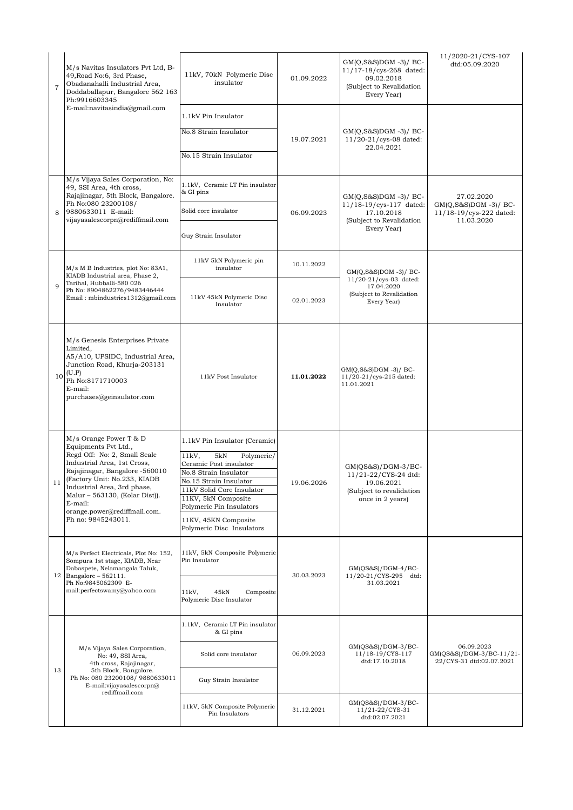| $\overline{7}$ | M/s Navitas Insulators Pvt Ltd, B-<br>49, Road No:6, 3rd Phase,<br>Obadanahalli Industrial Area,<br>Doddaballapur, Bangalore 562 163<br>Ph:9916603345                                                                                                                                                             | 11kV, 70kN Polymeric Disc<br>insulator                                                                                                                                                                                                                                           | 01.09.2022               | $GM(Q, S\&S)DGM -3)/BC$<br>11/17-18/cys-268 dated:<br>09.02.2018<br>(Subject to Revalidation<br>Every Year) | 11/2020-21/CYS-107<br>dtd:05.09.2020                                          |
|----------------|-------------------------------------------------------------------------------------------------------------------------------------------------------------------------------------------------------------------------------------------------------------------------------------------------------------------|----------------------------------------------------------------------------------------------------------------------------------------------------------------------------------------------------------------------------------------------------------------------------------|--------------------------|-------------------------------------------------------------------------------------------------------------|-------------------------------------------------------------------------------|
|                | E-mail:navitasindia@gmail.com                                                                                                                                                                                                                                                                                     | 1.1kV Pin Insulator<br>No.8 Strain Insulator<br>No.15 Strain Insulator                                                                                                                                                                                                           | 19.07.2021               | $GM(Q,S&S)DGM -3)/BC$<br>$11/20 - 21$ /cys-08 dated:<br>22.04.2021                                          |                                                                               |
| 8              | M/s Vijaya Sales Corporation, No:<br>49, SSI Area, 4th cross,<br>Rajajinagar, 5th Block, Bangalore.<br>Ph No:080 23200108/<br>9880633011 E-mail:<br>vijayasalescorpn@rediffmail.com                                                                                                                               | 1.1kV, Ceramic LT Pin insulator<br>& GI pins<br>Solid core insulator<br>Guy Strain Insulator                                                                                                                                                                                     | 06.09.2023               | $GM(Q, S\&S)DGM -3)/BC$<br>11/18-19/cys-117 dated:<br>17.10.2018<br>(Subject to Revalidation<br>Every Year) | 27.02.2020<br>$GM(Q, S&S)DGM -3)/BC$<br>11/18-19/cys-222 dated:<br>11.03.2020 |
| $\mathbf{Q}$   | M/s M B Industries, plot No: 83A1,<br>KIADB Industrial area, Phase 2,<br>Tarihal, Hubballi-580 026<br>Ph No: 8904862276/9483446444<br>Email: mbindustries1312@gmail.com                                                                                                                                           | 11kV 5kN Polymeric pin<br>insulator<br>11kV 45kN Polymeric Disc<br>Insulator                                                                                                                                                                                                     | 10.11.2022<br>02.01.2023 | GM(Q,S&S)DGM -3)/ BC-<br>11/20-21/cys-03 dated:<br>17.04.2020<br>(Subject to Revalidation<br>Every Year)    |                                                                               |
| 10             | M/s Genesis Enterprises Private<br>Limited,<br>A5/A10, UPSIDC, Industrial Area,<br>Junction Road, Khurja-203131<br>(U.P)<br>Ph No:8171710003<br>E-mail:<br>purchases@geinsulator.com                                                                                                                              | 11kV Post Insulator                                                                                                                                                                                                                                                              | 11.01.2022               | $GM(Q,S&S)DGM -3)/BC$<br>11/20-21/cys-215 dated:<br>11.01.2021                                              |                                                                               |
|                | M/s Orange Power T & D<br>Equipments Pvt Ltd.,<br>Regd Off: No: 2, Small Scale<br>Industrial Area, 1st Cross,<br>Rajajinagar, Bangalore -560010<br>(Factory Unit: No.233, KIADB<br>Industrial Area, 3rd phase,<br>Malur - 563130, (Kolar Dist)).<br>E-mail:<br>orange.power@rediffmail.com.<br>Ph no: 9845243011. | 1.1kV Pin Insulator (Ceramic)<br>5kN<br>$11kV$ ,<br>Polymeric/<br>Ceramic Post insulator<br>No.8 Strain Insulator<br>No.15 Strain Insulator<br>11kV Solid Core Insulator<br>11KV, 5kN Composite<br>Polymeric Pin Insulators<br>11KV, 45KN Composite<br>Polymeric Disc Insulators | 19.06.2026               | $GM(QS&S)/DGM-3/BC-$<br>11/21-22/CYS-24 dtd:<br>19.06.2021<br>(Subject to revalidation<br>once in 2 years)  |                                                                               |
|                | M/s Perfect Electricals, Plot No: 152,<br>Sompura 1st stage, KIADB, Near<br>Dabaspete, Nelamangala Taluk,<br>12 Bangalore - $562111$ .<br>Ph No:9845062309 E-<br>mail:perfectswamy@yahoo.com                                                                                                                      | 11kV, 5kN Composite Polymeric<br>Pin Insulator<br>11kV,<br>45kN<br>Composite<br>Polymeric Disc Insulator                                                                                                                                                                         | 30.03.2023               | $GM(QS&S)/DGM-4/BC-$<br>11/20-21/CYS-295 dtd:<br>31.03.2021                                                 |                                                                               |
| 13             | M/s Vijaya Sales Corporation,<br>No: 49, SSI Area,<br>4th cross, Rajajinagar,<br>5th Block, Bangalore.<br>Ph No: 080 23200108/ 9880633011<br>E-mail:vijayasalescorpn@<br>rediffmail.com                                                                                                                           | 1.1kV, Ceramic LT Pin insulator<br>& GI pins<br>Solid core insulator<br>Guy Strain Insulator<br>11kV, 5kN Composite Polymeric                                                                                                                                                    | 06.09.2023               | $GM(QS&S)/DGM-3/BC-$<br>11/18-19/CYS-117<br>dtd:17.10.2018<br>$GM(QS&S)/DGM-3/BC-$                          | 06.09.2023<br>GM(QS&S)/DGM-3/BC-11/21-<br>22/CYS-31 dtd:02.07.2021            |
|                |                                                                                                                                                                                                                                                                                                                   | Pin Insulators                                                                                                                                                                                                                                                                   | 31.12.2021               | 11/21-22/CYS-31<br>dtd:02.07.2021                                                                           |                                                                               |